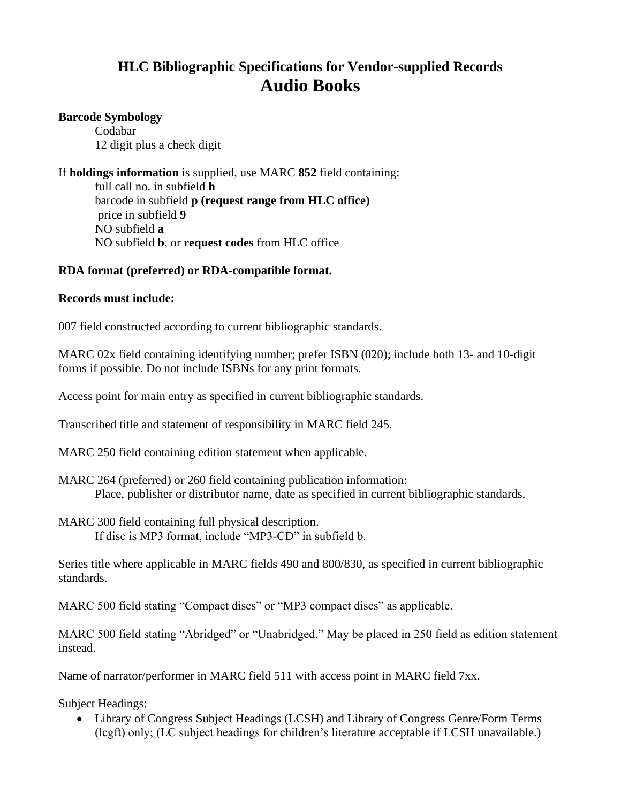# **HLC Bibliographic Specifications for Vendor-supplied Records Audio Books**

#### **Barcode Symbology**

Codabar 12 digit plus a check digit

If **holdings information** is supplied, use MARC **852** field containing:

full call no. in subfield **h** barcode in subfield **p (request range from HLC office)** price in subfield **9** NO subfield **a** NO subfield **b**, or **request codes** from HLC office

## **RDA format (preferred) or RDA-compatible format.**

### **Records must include:**

007 field constructed according to current bibliographic standards.

MARC 02x field containing identifying number; prefer ISBN (020); include both 13- and 10-digit forms if possible. Do not include ISBNs for any print formats.

Access point for main entry as specified in current bibliographic standards.

Transcribed title and statement of responsibility in MARC field 245.

MARC 250 field containing edition statement when applicable.

MARC 264 (preferred) or 260 field containing publication information: Place, publisher or distributor name, date as specified in current bibliographic standards.

MARC 300 field containing full physical description. If disc is MP3 format, include "MP3-CD" in subfield b.

Series title where applicable in MARC fields 490 and 800/830, as specified in current bibliographic standards.

MARC 500 field stating "Compact discs" or "MP3 compact discs" as applicable.

MARC 500 field stating "Abridged" or "Unabridged." May be placed in 250 field as edition statement instead.

Name of narrator/performer in MARC field 511 with access point in MARC field 7xx.

Subject Headings:

• Library of Congress Subject Headings (LCSH) and Library of Congress Genre/Form Terms (lcgft) only; (LC subject headings for children's literature acceptable if LCSH unavailable.)